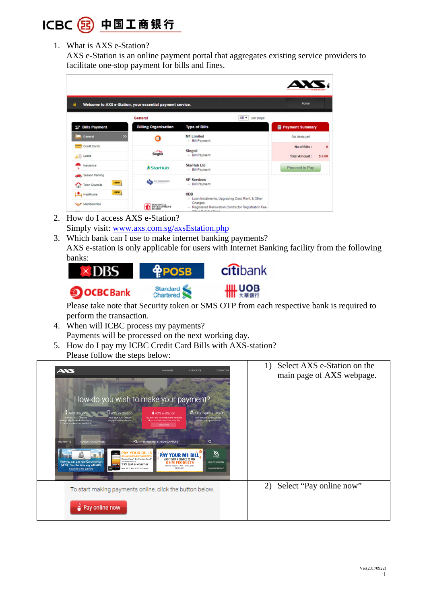

1. What is AXS e-Station?

AXS e-Station is an online payment portal that aggregates existing service providers to facilitate one-stop payment for bills and fines.

| ≘                                             |                                                                      |                                                                                                                                                               | 57<br>Home                                      |
|-----------------------------------------------|----------------------------------------------------------------------|---------------------------------------------------------------------------------------------------------------------------------------------------------------|-------------------------------------------------|
|                                               | Welcome to AXS e-Station, your essential payment service.<br>General | All +<br>per page                                                                                                                                             |                                                 |
| ST Bills Payment                              | <b>Billing Organisation</b>                                          | <b>Type of Bills</b>                                                                                                                                          | <b>目 Payment Summary</b>                        |
| $\rightarrow$<br>General                      | m                                                                    | <b>M1 Limited</b><br>- Bill Payment                                                                                                                           | No items yet                                    |
| Credit Cards<br>13 Loans                      | Singtel                                                              | <b>Singtel</b><br>- Bill Payment                                                                                                                              | No of Bills :<br><b>Total Amount:</b><br>\$0.00 |
| Insurance                                     | <b>*StarHub</b>                                                      | <b>StarHub Ltd</b><br>- Bill Payment                                                                                                                          | Proceed to Pay                                  |
| Season Parking<br>1 NEW<br>◇<br>Town Councils | se senvices<br>؞                                                     | <b>SP Services</b><br>- Bill Payment                                                                                                                          |                                                 |
| 1 NEW<br>Healthcare<br>Memberships            | <b>DESING A</b>                                                      | <b>HDB</b><br>- Loan Instalments, Upgrading Cost, Rent, & Other<br>Charges<br>- Registered Renovation Contractor Registration Fee<br>Concert Distance Concert |                                                 |

- 2. How do I access AXS e-Station? Simply visit: www.axs.com.sg/axsEstation.php
- 3. Which bank can I use to make internet banking payments? AXS e-station is only applicable for users with Internet Banking facility from the following banks:



Please take note that Security token or SMS OTP from each respective bank is required to perform the transaction.

- 4. When will ICBC process my payments? Payments will be processed on the next working day.
- 5. How do I pay my ICBC Credit Card Bills with AXS-station? Please follow the steps below:

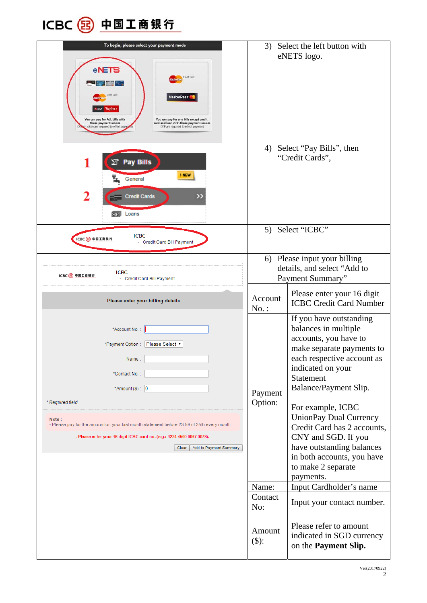

| To begin, please select your payment mode<br>eNETS<br><b>Credit Card</b><br>MasterPass <sup>®</sup><br>You can pay for ALL bills with<br>You can pay for any bills except credit<br>these payment modes<br>card and loan with these payment modes<br>token are required to effect payro<br>OTP are required to effect payment<br><b>Y Pay Bills</b> | 3) Select the left button with<br>eNETS logo.<br>4) Select "Pay Bills", then<br>"Credit Cards", |                                                                                                                                                                                                                                                                                                                                                                                                   |
|-----------------------------------------------------------------------------------------------------------------------------------------------------------------------------------------------------------------------------------------------------------------------------------------------------------------------------------------------------|-------------------------------------------------------------------------------------------------|---------------------------------------------------------------------------------------------------------------------------------------------------------------------------------------------------------------------------------------------------------------------------------------------------------------------------------------------------------------------------------------------------|
| 1 NEW<br>General<br>2<br>X)<br><b>Credit Cards</b><br>cos Loans                                                                                                                                                                                                                                                                                     |                                                                                                 |                                                                                                                                                                                                                                                                                                                                                                                                   |
| <b>ICBC</b><br>ICBC 2 中国工商银行<br>- Credit Card Bill Payment                                                                                                                                                                                                                                                                                          | 5) Select "ICBC"                                                                                |                                                                                                                                                                                                                                                                                                                                                                                                   |
| <b>ICBC</b><br>ICBC 23 中国工商银行<br>- Credit Card Bill Payment                                                                                                                                                                                                                                                                                         | 6) Please input your billing<br>details, and select "Add to<br>Payment Summary"                 |                                                                                                                                                                                                                                                                                                                                                                                                   |
| Please enter your billing details                                                                                                                                                                                                                                                                                                                   | Account<br>$No.$ :                                                                              | Please enter your 16 digit<br><b>ICBC Credit Card Number</b>                                                                                                                                                                                                                                                                                                                                      |
| *Account No.:<br>*Payment Option : Please Select ▼<br>Name:<br>*Contact No.:<br>*Amount $($ 5): 0<br>* Required field<br>Note:<br>- Please pay for the amount on your last month statement before 23:59 of 25th every month.<br>- Please enter your 16 digit ICBC card no. (e.g.: 1234 4500 0067 0078).<br>Add to Payment Summary<br>Clear          | Payment<br>Option:                                                                              | If you have outstanding<br>balances in multiple<br>accounts, you have to<br>make separate payments to<br>each respective account as<br>indicated on your<br>Statement<br>Balance/Payment Slip.<br>For example, ICBC<br>UnionPay Dual Currency<br>Credit Card has 2 accounts,<br>CNY and SGD. If you<br>have outstanding balances<br>in both accounts, you have<br>to make 2 separate<br>payments. |
|                                                                                                                                                                                                                                                                                                                                                     | Name:<br>Contact                                                                                | Input Cardholder's name<br>Input your contact number.                                                                                                                                                                                                                                                                                                                                             |
|                                                                                                                                                                                                                                                                                                                                                     | No:<br>Amount<br>$($ \$):                                                                       | Please refer to amount<br>indicated in SGD currency<br>on the <b>Payment Slip.</b>                                                                                                                                                                                                                                                                                                                |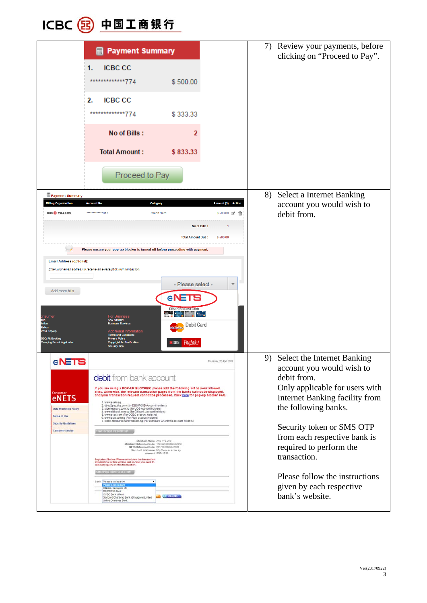